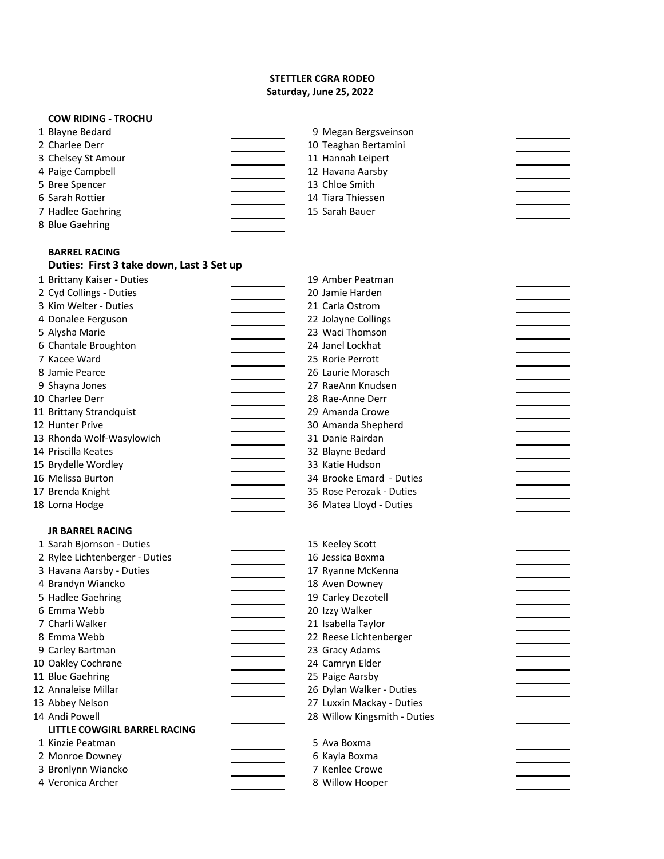# **STETTLER CGRA RODEO Saturday, June 25, 2022**

 $\overline{\phantom{a}}$ 

 $\overline{\phantom{a}}$ 

 $\mathcal{L}(\mathcal{L})$ 

 $\overline{a}$ 

 $\overline{\phantom{a}}$ 

# **COW RIDING - TROCHU**

| 2 Charlee Derr<br>10 Teaghan Bertamini  |  |
|-----------------------------------------|--|
| 11 Hannah Leipert<br>3 Chelsey St Amour |  |
| 4 Paige Campbell<br>12 Havana Aarsby    |  |
| 13 Chloe Smith<br>5 Bree Spencer        |  |
| 6 Sarah Rottier<br>14 Tiara Thiessen    |  |
| 15 Sarah Bauer<br>7 Hadlee Gaehring     |  |
| 8 Blue Gaehring                         |  |

# **BARREL RACING Duties: First 3 take down, Last 3 Set up**

| 1 Brittany Kaiser - Duties     | 19 Amber Peatman             |
|--------------------------------|------------------------------|
| 2 Cyd Collings - Duties        | 20 Jamie Harden              |
| 3 Kim Welter - Duties          | 21 Carla Ostrom              |
| 4 Donalee Ferguson             | 22 Jolayne Collings          |
| 5 Alysha Marie                 | 23 Waci Thomson              |
| 6 Chantale Broughton           | 24 Janel Lockhat             |
| 7 Kacee Ward                   | 25 Rorie Perrott             |
| 8 Jamie Pearce                 | 26 Laurie Morasch            |
| 9 Shayna Jones                 | 27 RaeAnn Knudsen            |
| 10 Charlee Derr                | 28 Rae-Anne Derr             |
| 11 Brittany Strandquist        | 29 Amanda Crowe              |
| 12 Hunter Prive                | 30 Amanda Shepherd           |
| 13 Rhonda Wolf-Wasylowich      | 31 Danie Rairdan             |
| 14 Priscilla Keates            | 32 Blayne Bedard             |
| 15 Brydelle Wordley            | 33 Katie Hudson              |
| 16 Melissa Burton              | 34 Brooke Emard - Duties     |
| 17 Brenda Knight               | 35 Rose Perozak - Duties     |
| 18 Lorna Hodge                 | 36 Matea Lloyd - Duties      |
| <b>JR BARREL RACING</b>        |                              |
| 1 Sarah Bjornson - Duties      | 15 Keeley Scott              |
| 2 Rylee Lichtenberger - Duties | 16 Jessica Boxma             |
| 3 Havana Aarsby - Duties       | 17 Ryanne McKenna            |
| 4 Brandyn Wiancko              | 18 Aven Downey               |
| 5 Hadlee Gaehring              | 19 Carley Dezotell           |
| 6 Emma Webb                    | 20 Izzy Walker               |
| 7 Charli Walker                | 21 Isabella Taylor           |
| 8 Emma Webb                    | 22 Reese Lichtenberger       |
| 9 Carley Bartman               | 23 Gracy Adams               |
| 10 Oakley Cochrane             | 24 Camryn Elder              |
| 11 Blue Gaehring               | 25 Paige Aarsby              |
| 12 Annaleise Millar            | 26 Dylan Walker - Duties     |
| 13 Abbey Nelson                | 27 Luxxin Mackay - Duties    |
| 14 Andi Powell                 | 28 Willow Kingsmith - Duties |
| LITTLE COWGIRL BARREL RACING   |                              |
| 1 Kinzie Peatman               | 5 Ava Boxma                  |
| 2 Monroe Downey                | 6 Kayla Boxma                |
| 3 Bronlynn Wiancko             | 7 Kenlee Crowe               |
| 4 Veronica Archer              | 8 Willow Hooper              |
|                                |                              |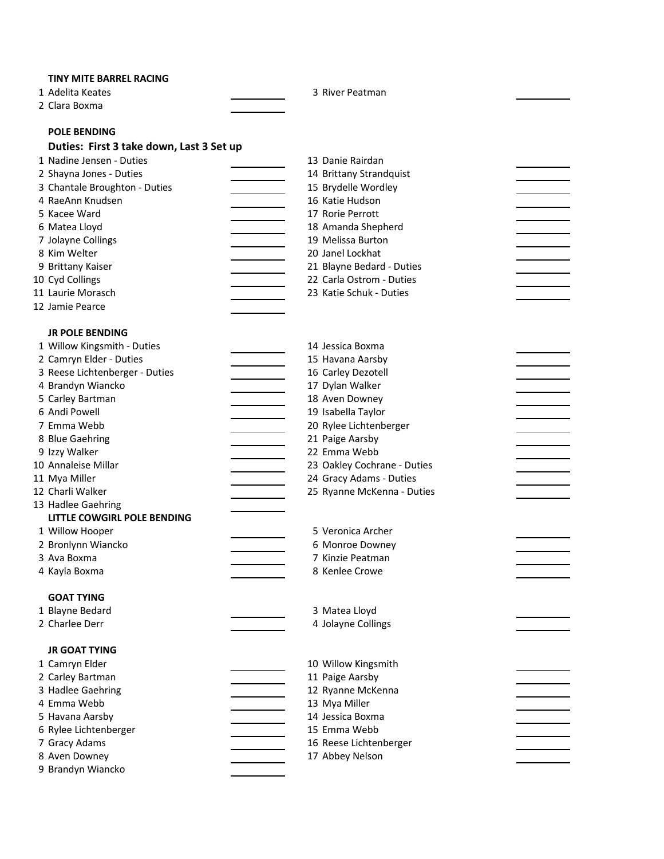## **TINY MITE BARREL RACING**

1 Adelita Keates **3 River Peatman** 

Clara Boxma

# **POLE BENDING**

# **Duties: First 3 take down, Last 3 Set up**

| 1 Nadine Jensen - Duties      | 13 Danie Rairdan          |
|-------------------------------|---------------------------|
| 2 Shayna Jones - Duties       | 14 Brittany Strandquist   |
| 3 Chantale Broughton - Duties | 15 Brydelle Wordley       |
| 4 RaeAnn Knudsen              | 16 Katie Hudson           |
| 5 Kacee Ward                  | 17 Rorie Perrott          |
| 6 Matea Lloyd                 | 18 Amanda Shepherd        |
| 7 Jolayne Collings            | 19 Melissa Burton         |
| 8 Kim Welter                  | 20 Janel Lockhat          |
| 9 Brittany Kaiser             | 21 Blayne Bedard - Duties |
| 10 Cyd Collings               | 22 Carla Ostrom - Duties  |
| 11 Laurie Morasch             | 23 Katie Schuk - Duties   |
| 12 Jamie Pearce               |                           |

## **JR POLE BENDING**

| 1 Willow Kingsmith - Duties    | 14 Jessica Boxma            |
|--------------------------------|-----------------------------|
| 2 Camryn Elder - Duties        | 15 Havana Aarsby            |
| 3 Reese Lichtenberger - Duties | 16 Carley Dezotell          |
| 4 Brandyn Wiancko              | 17 Dylan Walker             |
| 5 Carley Bartman               | 18 Aven Downey              |
| 6 Andi Powell                  | 19 Isabella Taylor          |
| 7 Emma Webb                    | 20 Rylee Lichtenberger      |
| 8 Blue Gaehring                | 21 Paige Aarsby             |
| 9 Izzy Walker                  | 22 Emma Webb                |
| 10 Annaleise Millar            | 23 Oakley Cochrane - Duties |
| 11 Mya Miller                  | 24 Gracy Adams - Duties     |
| 12 Charli Walker               | 25 Ryanne McKenna - Duties  |
| 13 Hadlee Gaehring             |                             |
| LITTLE COWGIRL POLE BENDING    |                             |
| 1 Willow Hooper                | 5 Veronica Archer           |
| 2 Bronlynn Wiancko             | 6 Monroe Downey             |
| 3 Ava Boxma                    | 7 Kinzie Peatman            |
| 4 Kayla Boxma                  | 8 Kenlee Crowe              |
|                                |                             |
| <b>GOAT TYING</b>              |                             |
| 1 Blayne Bedard                | 3 Matea Lloyd               |
| 2 Charlee Derr                 | 4 Jolayne Collings          |
|                                |                             |
| <b>JR GOAT TYING</b>           |                             |
| 1 Camryn Elder                 | 10 Willow Kingsmith         |
| 2 Carley Bartman               | 11 Paige Aarsby             |
| 3 Hadlee Gaehring              | 12 Ryanne McKenna           |
| 4 Emma Webb                    | 13 Mya Miller               |
| 5 Havana Aarsby                | 14 Jessica Boxma            |
| 6 Rylee Lichtenberger          | 15 Emma Webb                |
| 7 Gracy Adams                  | 16 Reese Lichtenberger      |
| 8 Aven Downey                  | 17 Abbey Nelson             |
| 9 Brandyn Wiancko              |                             |